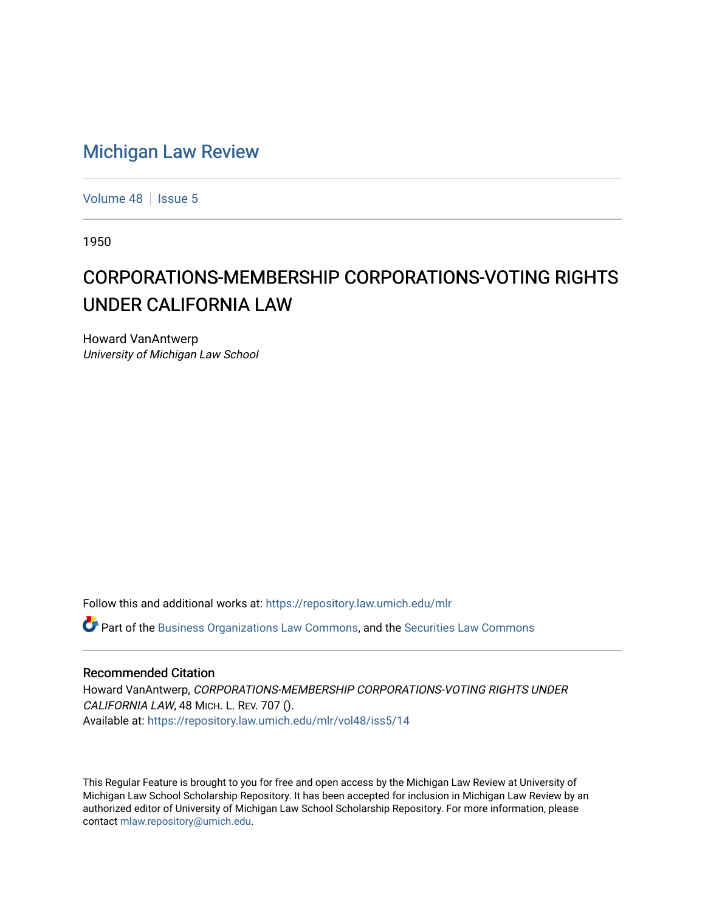## [Michigan Law Review](https://repository.law.umich.edu/mlr)

[Volume 48](https://repository.law.umich.edu/mlr/vol48) | [Issue 5](https://repository.law.umich.edu/mlr/vol48/iss5)

1950

## CORPORATIONS-MEMBERSHIP CORPORATIONS-VOTING RIGHTS UNDER CALIFORNIA LAW

Howard VanAntwerp University of Michigan Law School

Follow this and additional works at: [https://repository.law.umich.edu/mlr](https://repository.law.umich.edu/mlr?utm_source=repository.law.umich.edu%2Fmlr%2Fvol48%2Fiss5%2F14&utm_medium=PDF&utm_campaign=PDFCoverPages) 

 $\bullet$  Part of the [Business Organizations Law Commons](http://network.bepress.com/hgg/discipline/900?utm_source=repository.law.umich.edu%2Fmlr%2Fvol48%2Fiss5%2F14&utm_medium=PDF&utm_campaign=PDFCoverPages), and the Securities Law Commons

## Recommended Citation

Howard VanAntwerp, CORPORATIONS-MEMBERSHIP CORPORATIONS-VOTING RIGHTS UNDER CALIFORNIA LAW, 48 MICH. L. REV. 707 (). Available at: [https://repository.law.umich.edu/mlr/vol48/iss5/14](https://repository.law.umich.edu/mlr/vol48/iss5/14?utm_source=repository.law.umich.edu%2Fmlr%2Fvol48%2Fiss5%2F14&utm_medium=PDF&utm_campaign=PDFCoverPages) 

This Regular Feature is brought to you for free and open access by the Michigan Law Review at University of Michigan Law School Scholarship Repository. It has been accepted for inclusion in Michigan Law Review by an authorized editor of University of Michigan Law School Scholarship Repository. For more information, please contact [mlaw.repository@umich.edu](mailto:mlaw.repository@umich.edu).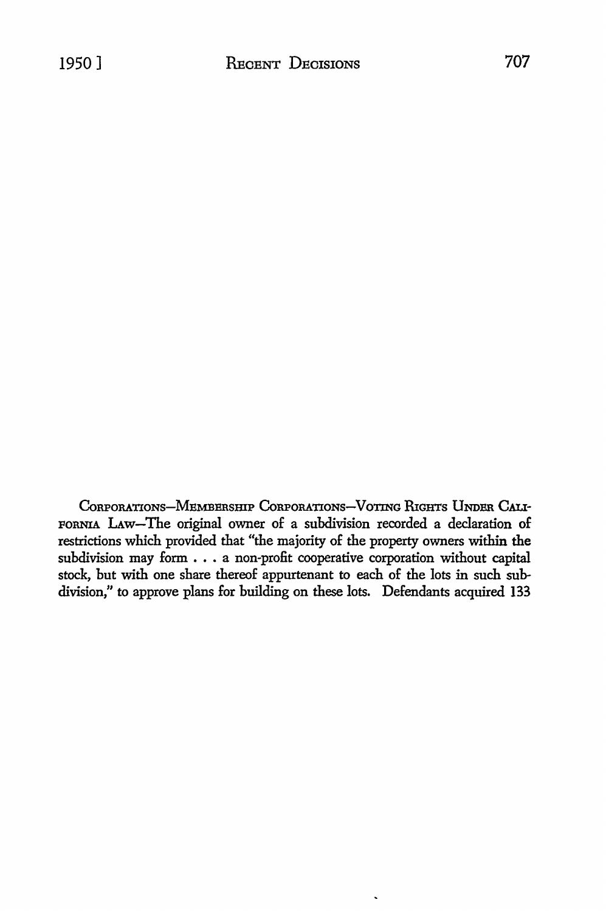CORPORATIONS-MEMBERSHIP CORPORATIONS-VOTING RIGHTS UNDER CALI-FORNIA LAw-The original owner of a subdivision recorded a declaration of restrictions which provided that "the majority of the property owners within the subdivision may form . . . a non-profit cooperative corporation without capital stock, but with one share thereof appurtenant *to* each of the lots in such subdivision," to approve plans for building on these lots. Defendants acquired 133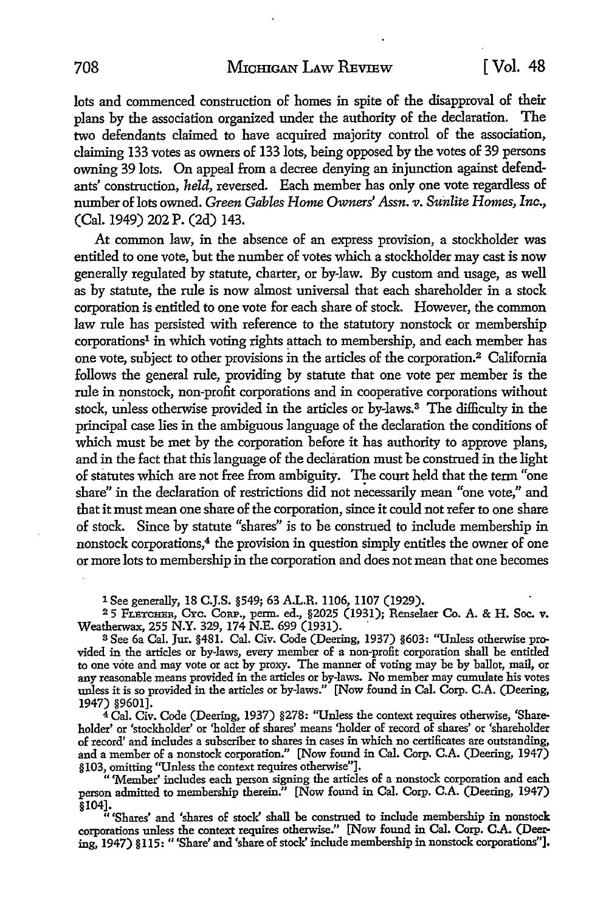lots and commenced construction of homes in spite of the disapproval of their plans by the association organized under the authority of the declaration. The two defendants claimed to have acquired majority control of the association, claiming 133 votes as owners of 133 lots, being opposed by the votes of 39 persons owning 39 lots. On appeal from a decree denying an injunction against defendants' construction, *held,* reversed. Each member has only one vote regardless of numberoflots owned. *Green Gables Home Owners' Assn. v. Sunlite Homes, Inc.,*  (Cal. 1949) 202 P. (2d) 143.

At common law, in the absence of an express provision, a stockholder was entitled to one vote, but the number of votes which a stockholder may cast is now generally regulated by statute, charter, or by-law. By custom and usage, as well as by statute, the rule is now almost universal that each shareholder in a stock corporation is entitled to one vote for each share of stock. However, the common law rule has persisted with reference to the statutory nonstock or membership corporations<sup>1</sup> in which voting rights attach to membership, and each member has one vote, subject to other provisions in the articles of the corporation.<sup>2</sup> California follows the general rule, providing by statute that one vote per member is the rule in nonstock, non-profit corporations and in cooperative corporations without stock, unless otherwise provided in the articles or by-laws.<sup>3</sup> The difficulty in the principal case lies in the ambiguous language of the declaration the conditions of which must be met by the corporation before it has authority to approve plans, and in the fact that this language of the declaration must be construed in the light of statutes which are not free from ambiguity. The court held that the term "one share" in the declaration of restrictions did not necessarily mean "one vote," and that it must mean one share of the corporation, since it could not refer to one share of stock. Since by statute "shares" is to be construed to include membership in nonstock corporations,<sup>4</sup> the provision in question simply entitles the owner of one or more lots to membership in the corporation and does not mean that one becomes

1 See generally, 18 C.J.S. §549; 63 A.L.R. 1106, 1107 (1929).<br>25 Fr.втснвв, Cyc. Cor.e., perm. ed., §2025 (1931); Renselaer Co. A. & H. Soc. v. Weatherwax, 255 N.Y. 329, 174 N.E. 699 (1931). .

3 See 6a Cal. Jur. §481. Cal. Civ. Code (Deering, 1937) §603: "Unless otherwise provided in the articles or by-laws, every member of a non-profit corporation shall be entitled to one vote and may vote or act by proxy. The manner of voting may be by ballot, mail, or any reasonable means provided in the articles or by-laws. No member may cumulate his votes unless it is so provided in the articles or by-laws." [Now found in Cal. Corp. C.A. (Deering, 1947) §9601].

4 Cal. Civ. Code (Deering, 1937) §278: "Unless the context requires otherwise, 'Shareholder' or 'stockholder' or 'holder of shares' means 'holder of record of shares' or 'shareholder of record' and includes a subscriber to shares in cases in which no certificates are outstanding, and a member of a nonstock corporation." [Now found in Cal. Corp. C.A. (Deering, 1947) §103, omitting ''Unless the context requires otherwise"].

" 'Member' includes each person signing the articles of a nonstock corporation and each person admitted to membership therein." [Now found in Cal. Corp. C.A. (Deering, 1947)

§104]. " 'Shares' and 'shares of stock' shall be construed to include membership in nonstock corporations unless the context requires otherwise." [Now found in Cal. Corp. C.A. (Deering, 1947) § 115: '' 'Share' and 'share of stock' include membership in nonstock corporations"],